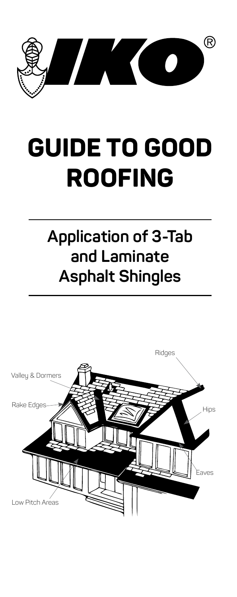

# **GUIDE TO GOOD ROOFING**

# **Application of 3‑Tab and Laminate Asphalt Shingles**

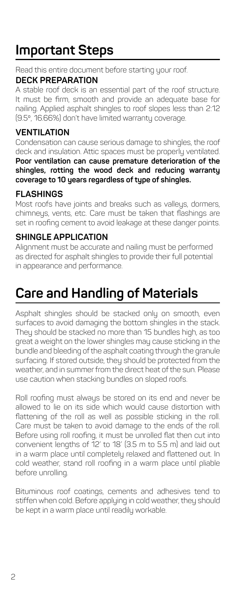# **Important Steps**

Read this entire document before starting your roof.

#### **DECK PREPARATION**

A stable roof deck is an essential part of the roof structure. It must be firm, smooth and provide an adequate base for nailing. Applied asphalt shingles to roof slopes less than 2:12 (9.5º, 16.66%) don't have limited warranty coverage.

#### **VENTILATION**

Condensation can cause serious damage to shingles, the roof deck and insulation. Attic spaces must be properly ventilated. **Poor ventilation can cause premature deterioration of the shingles, rotting the wood deck and reducing warranty coverage to 10 years regardless of type of shingles.**

#### **FLASHINGS**

Most roofs have joints and breaks such as valleys, dormers, chimneys, vents, etc. Care must be taken that flashings are set in roofing cement to avoid leakage at these danger points.

#### **SHINGLE APPLICATION**

Alignment must be accurate and nailing must be performed as directed for asphalt shingles to provide their full potential in appearance and performance.

### **Care and Handling of Materials**

Asphalt shingles should be stacked only on smooth, even surfaces to avoid damaging the bottom shingles in the stack. They should be stacked no more than 15 bundles high, as too great a weight on the lower shingles may cause sticking in the bundle and bleeding of the asphalt coating through the granule surfacing. If stored outside, they should be protected from the weather, and in summer from the direct heat of the sun. Please use caution when stacking bundles on sloped roofs.

Roll roofing must always be stored on its end and never be allowed to lie on its side which would cause distortion with flattening of the roll as well as possible sticking in the roll. Care must be taken to avoid damage to the ends of the roll. Before using roll roofing, it must be unrolled flat then cut into convenient lengths of 12' to 18' (3.5 m to 5.5 m) and laid out in a warm place until completely relaxed and flattened out. In cold weather, stand roll roofing in a warm place until pliable before unrolling.

Bituminous roof coatings, cements and adhesives tend to stiffen when cold. Before applying in cold weather, they should be kept in a warm place until readily workable.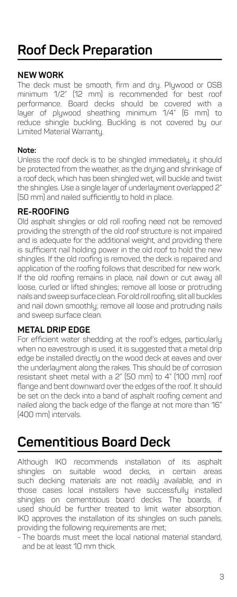# **Roof Deck Preparation**

#### **NEW WORK**

The deck must be smooth, firm and dry. Plywood or OSB minimum 1/2" (12 mm) is recommended for best roof performance. Board decks should be covered with a layer of plywood sheathing minimum 1/4" (6 mm) to reduce shingle buckling. Buckling is not covered by our Limited Material Warranty.

#### **Note:**

Unless the roof deck is to be shingled immediately, it should be protected from the weather, as the drying and shrinkage of a roof deck, which has been shingled wet, will buckle and twist the shingles. Use a single layer of underlayment overlapped 2" (50 mm) and nailed sufficiently to hold in place.

#### **RE-ROOFING**

Old asphalt shingles or old roll roofing need not be removed providing the strength of the old roof structure is not impaired and is adequate for the additional weight, and providing there is sufficient nail holding power in the old roof to hold the new shingles. If the old roofing is removed, the deck is repaired and application of the roofing follows that described for new work. If the old roofing remains in place, nail down or cut away all loose, curled or lifted shingles; remove all loose or protruding nails and sweep surface clean. For old roll roofing, slit all buckles and nail down smoothly; remove all loose and protruding nails and sweep surface clean.

#### **METAL DRIP EDGE**

For efficient water shedding at the roof's edges, particularly when no eavestrough is used, it is suggested that a metal drip edge be installed directly on the wood deck at eaves and over the underlayment along the rakes. This should be of corrosion resistant sheet metal with a 2" (50 mm) to 4" (100 mm) roof flange and bent downward over the edges of the roof. It should be set on the deck into a band of asphalt roofing cement and nailed along the back edge of the flange at not more than 16" (400 mm) intervals.

### **Cementitious Board Deck**

Although IKO recommends installation of its asphalt shingles on suitable wood decks, in certain areas such decking materials are not readily available, and in those cases local installers have successfully installed shingles on cementitious board decks. The boards, if used should be further treated to limit water absorption. IKO approves the installation of its shingles on such panels, providing the following requirements are met;

- The boards must meet the local national material standard, and be at least 10 mm thick.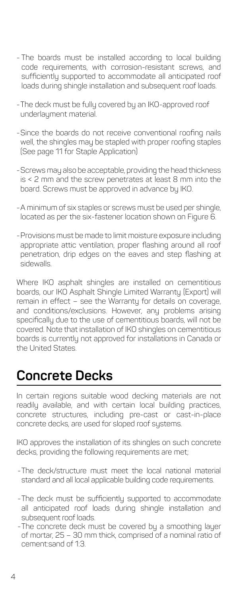- The boards must be installed according to local building code requirements, with corrosion-resistant screws, and sufficiently supported to accommodate all anticipated roof loads during shingle installation and subsequent roof loads.
- -The deck must be fully covered by an IKO-approved roof underlayment material.
- -Since the boards do not receive conventional roofing nails well, the shingles may be stapled with proper roofing staples (See page 11 for Staple Application)
- -Screws may also be acceptable, providing the head thickness is < 2 mm and the screw penetrates at least 8 mm into the board. Screws must be approved in advance by IKO.
- -A minimum of six staples or screws must be used per shingle, located as per the six-fastener location shown on Figure 6.
- -Provisions must be made to limit moisture exposure including appropriate attic ventilation, proper flashing around all roof penetration, drip edges on the eaves and step flashing at sidewalls.

Where IKO asphalt shingles are installed on cementitious boards, our IKO Asphalt Shingle Limited Warranty (Export) will remain in effect – see the Warranty for details on coverage, and conditions/exclusions. However, any problems arising specifically due to the use of cementitious boards, will not be covered. Note that installation of IKO shingles on cementitious boards is currently not approved for installations in Canada or the United States.

### **Concrete Decks**

In certain regions suitable wood decking materials are not readily available, and with certain local building practices, concrete structures, including pre-cast or cast-in-place concrete decks, are used for sloped roof systems.

IKO approves the installation of its shingles on such concrete decks, providing the following requirements are met;

- -The deck/structure must meet the local national material standard and all local applicable building code requirements.
- -The deck must be sufficiently supported to accommodate all anticipated roof loads during shingle installation and subsequent roof loads.
- -The concrete deck must be covered by a smoothing layer of mortar, 25 – 30 mm thick, comprised of a nominal ratio of cement:sand of 1:3.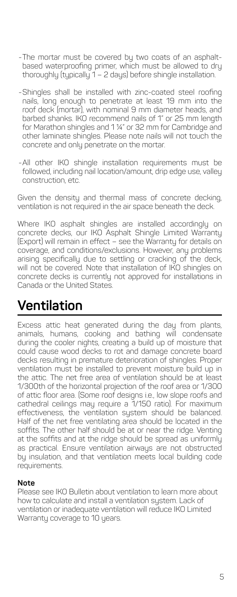- -The mortar must be covered by two coats of an asphaltbased waterproofing primer, which must be allowed to dry thoroughly (typically 1 – 2 days) before shingle installation.
- -Shingles shall be installed with zinc-coated steel roofing nails, long enough to penetrate at least 19 mm into the roof deck (mortar), with nominal 9 mm diameter heads, and barbed shanks. IKO recommend nails of 1" or 25 mm length for Marathon shingles and 1 ¼" or 32 mm for Cambridge and other laminate shingles. Please note nails will not touch the concrete and only penetrate on the mortar.
- -All other IKO shingle installation requirements must be followed, including nail location/amount, drip edge use, valley construction, etc.

Given the density and thermal mass of concrete decking, ventilation is not required in the air space beneath the deck.

Where IKO asphalt shingles are installed accordingly on concrete decks, our IKO Asphalt Shingle Limited Warranty (Export) will remain in effect – see the Warranty for details on coverage, and conditions/exclusions. However, any problems arising specifically due to settling or cracking of the deck, will not be covered. Note that installation of IKO shingles on concrete decks is currently not approved for installations in Canada or the United States.

### **Ventilation**

Excess attic heat generated during the day from plants, animals, humans, cooking and bathing will condensate during the cooler nights, creating a build up of moisture that could cause wood decks to rot and damage concrete board decks resulting in premature deterioration of shingles. Proper ventilation must be installed to prevent moisture build up in the attic. The net free area of ventilation should be at least 1/300th of the horizontal projection of the roof area or 1/300 of attic floor area. (Some roof designs i.e., low slope roofs and cathedral ceilings may require a 1/150 ratio). For maximum effectiveness, the ventilation system should be balanced. Half of the net free ventilating area should be located in the soffits. The other half should be at or near the ridge. Venting at the soffits and at the ridge should be spread as uniformly as practical. Ensure ventilation airways are not obstructed by insulation, and that ventilation meets local building code requirements.

#### **Note**

Please see IKO Bulletin about ventilation to learn more about how to calculate and install a ventilation system. Lack of ventilation or inadequate ventilation will reduce IKO Limited Warranty coverage to 10 years.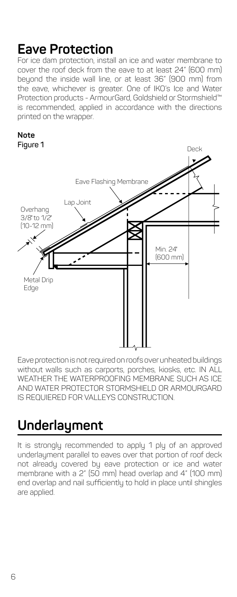### **Eave Protection**

For ice dam protection, install an ice and water membrane to cover the roof deck from the eave to at least 24" (600 mm) beyond the inside wall line, or at least 36" (900 mm) from the eave, whichever is greater. One of IKO's Ice and Water Protection products - ArmourGard, Goldshield or Stormshield™ is recommended, applied in accordance with the directions printed on the wrapper.



Eave protection is not required on roofs over unheated buildings without walls such as carports, porches, kiosks, etc. IN ALL WEATHER THE WATERPROOFING MEMBRANE SUCH AS ICE AND WATER PROTECTOR STORMSHIELD OR ARMOURGARD IS REQUIERED FOR VALLEYS CONSTRUCTION.

### **Underlayment**

It is strongly recommended to apply 1 ply of an approved underlayment parallel to eaves over that portion of roof deck not already covered by eave protection or ice and water membrane with a 2" (50 mm) head overlap and 4" (100 mm) end overlap and nail sufficiently to hold in place until shingles are applied.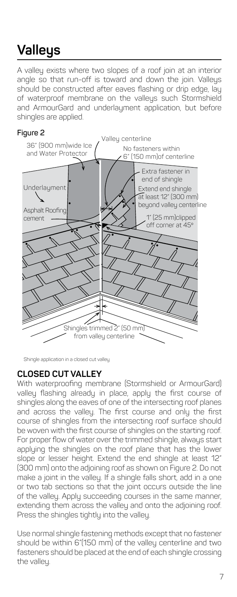# **Valleys**

A valley exists where two slopes of a roof join at an interior angle so that run-off is toward and down the join. Valleys should be constructed after eaves flashing or drip edge, lay of waterproof membrane on the valleys such Stormshield and ArmourGard and underlayment application, but before shingles are applied.







#### **CLOSED CUT VALLEY**

With waterproofing membrane (Stormshield or ArmourGard) valley flashing already in place, apply the first course of shingles along the eaves of one of the intersecting roof planes and across the valley. The first course and only the first course of shingles from the intersecting roof surface should be woven with the first course of shingles on the starting roof. For proper flow of water over the trimmed shingle, always start applying the shingles on the roof plane that has the lower slope or lesser height. Extend the end shingle at least 12" (300 mm) onto the adjoining roof as shown on Figure 2. Do not make a joint in the valley. If a shingle falls short, add in a one or two tab sections so that the joint occurs outside the line of the valley. Apply succeeding courses in the same manner, extending them across the valley and onto the adjoining roof. Press the shingles tightly into the valley.

Use normal shingle fastening methods except that no fastener should be within 6"(150 mm) of the valley centerline and two fasteners should be placed at the end of each shingle crossing the valley.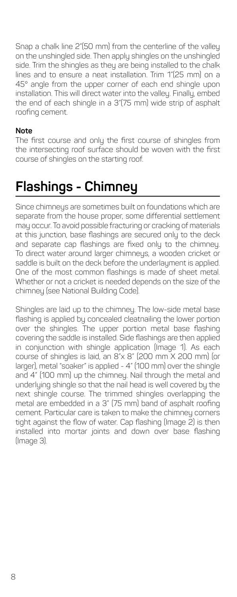Snap a chalk line 2"(50 mm) from the centerline of the valley on the unshingled side. Then apply shingles on the unshingled side. Trim the shingles as they are being installed to the chalk lines and to ensure a neat installation. Trim 1"(25 mm) on a 45° angle from the upper corner of each end shingle upon installation. This will direct water into the valley. Finally, embed the end of each shingle in a 3"(75 mm) wide strip of asphalt roofing cement.

#### **Note**

The first course and only the first course of shingles from the intersecting roof surface should be woven with the first course of shingles on the starting roof.

### **Flashings ‑ Chimney**

Since chimneys are sometimes built on foundations which are separate from the house proper, some differential settlement may occur. To avoid possible fracturing or cracking of materials at this junction, base flashings are secured only to the deck and separate cap flashings are fixed only to the chimney. To direct water around larger chimneys, a wooden cricket or saddle is built on the deck before the underlayment is applied. One of the most common flashings is made of sheet metal. Whether or not a cricket is needed depends on the size of the chimney (see National Building Code).

Shingles are laid up to the chimney. The low-side metal base flashing is applied by concealed cleatnailing the lower portion over the shingles. The upper portion metal base flashing covering the saddle is installed. Side flashings are then applied in conjunction with shingle application (Image 1). As each course of shingles is laid, an 8"x 8" (200 mm X 200 mm) (or larger), metal "soaker" is applied - 4" (100 mm) over the shingle and 4" (100 mm) up the chimney. Nail through the metal and underlying shingle so that the nail head is well covered by the next shingle course. The trimmed shingles overlapping the metal are embedded in a 3" (75 mm) band of asphalt roofing cement. Particular care is taken to make the chimney corners tight against the flow of water. Cap flashing (Image 2) is then installed into mortar joints and down over base flashing (Image 3).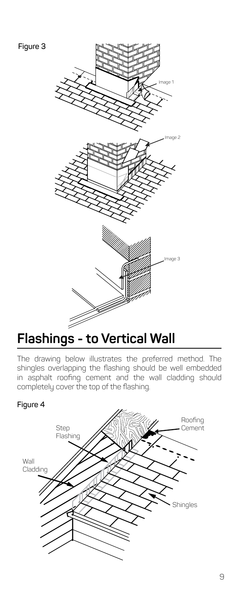



### **Flashings - to Vertical Wall**

The drawing below illustrates the preferred method. The shingles overlapping the flashing should be well embedded in asphalt roofing cement and the wall cladding should completely cover the top of the flashing.

#### **Figure 4**

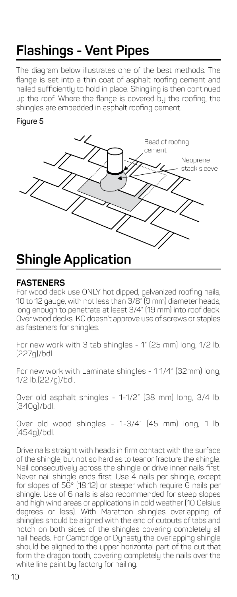# **Flashings - Vent Pipes**

The diagram below illustrates one of the best methods. The flange is set into a thin coat of asphalt roofing cement and nailed sufficiently to hold in place. Shingling is then continued up the roof. Where the flange is covered by the roofing, the shingles are embedded in asphalt roofing cement.

#### **Figure 5**



#### **FASTENERS**

For wood deck use ONLY hot dipped, galvanized roofing nails, 10 to 12 gauge, with not less than 3/8" (9 mm) diameter heads, long enough to penetrate at least 3/4" (19 mm) into roof deck. Over wood decks IKO doesn't approve use of screws or staples as fasteners for shingles.

For new work with 3 tab shingles - 1" (25 mm) long, 1/2 lb. (227g)/bdl.

For new work with Laminate shingles - 1 1/4" (32mm) long, 1/2 lb.(227g)/bdl.

Over old asphalt shingles - 1-1/2" (38 mm) long, 3/4 lb. (340g)/bdl.

Over old wood shingles - 1-3/4" (45 mm) long, 1 lb. (454g)/bdl.

Drive nails straight with heads in firm contact with the surface of the shingle, but not so hard as to tear or fracture the shingle. Nail consecutively across the shingle or drive inner nails first. Never nail shingle ends first. Use 4 nails per shingle, except for slopes of 56° (18:12) or steeper which require 6 nails per shingle. Use of 6 nails is also recommended for steep slopes and high wind areas or applications in cold weather (10 Celsius degrees or less). With Marathon shingles overlapping of shingles should be aligned with the end of cutouts of tabs and notch on both sides of the shingles covering completely all nail heads. For Cambridge or Dynasty the overlapping shingle should be aligned to the upper horizontal part of the cut that form the dragon tooth, covering completely the nails over the white line paint by factory for nailing.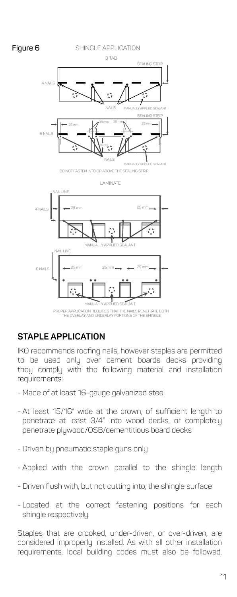

#### **STAPLE APPLICATION**

IKO recommends roofing nails, however staples are permitted to be used only over cement boards decks providing they comply with the following material and installation requirements:

- Made of at least 16-gauge galvanized steel
- At least 15/16" wide at the crown, of sufficient length to penetrate at least 3/4" into wood decks, or completely penetrate plywood/OSB/cementitious board decks
- Driven by pneumatic staple guns only
- Applied with the crown parallel to the shingle length
- Driven flush with, but not cutting into, the shingle surface
- Located at the correct fastening positions for each shingle respectively

Staples that are crooked, under-driven, or over-driven, are considered improperly installed. As with all other installation requirements, local building codes must also be followed.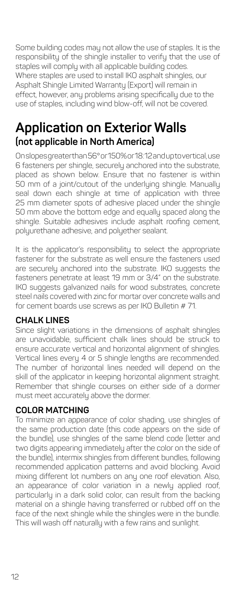Some building codes may not allow the use of staples. It is the responsibility of the shingle installer to verify that the use of staples will comply with all applicable building codes. Where staples are used to install IKO asphalt shingles, our Asphalt Shingle Limited Warranty (Export) will remain in effect, however, any problems arising specifically due to the use of staples, including wind blow-off, will not be covered.

### **Application on Exterior Walls (not applicable in North America)**

On slopes greater than 56° or 150% or 18:12 and up to vertical, use 6 fasteners per shingle, securely anchored into the substrate, placed as shown below. Ensure that no fastener is within 50 mm of a joint/cutout of the underlying shingle. Manually seal down each shingle at time of application with three 25 mm diameter spots of adhesive placed under the shingle 50 mm above the bottom edge and equally spaced along the shingle. Suitable adhesives include asphalt roofing cement, polyurethane adhesive, and polyether sealant.

It is the applicator's responsibility to select the appropriate fastener for the substrate as well ensure the fasteners used are securely anchored into the substrate. IKO suggests the fasteners penetrate at least 19 mm or 3/4" on the substrate. IKO suggests galvanized nails for wood substrates, concrete steel nails covered with zinc for mortar over concrete walls and for cement boards use screws as per IKO Bulletin # 71.

#### **CHALK LINES**

Since slight variations in the dimensions of asphalt shingles are unavoidable, sufficient chalk lines should be struck to ensure accurate vertical and horizontal alignment of shingles. Vertical lines every 4 or 5 shingle lengths are recommended. The number of horizontal lines needed will depend on the skill of the applicator in keeping horizontal alignment straight. Remember that shingle courses on either side of a dormer must meet accurately above the dormer.

#### **COLOR MATCHING**

To minimize an appearance of color shading, use shingles of the same production date (this code appears on the side of the bundle), use shingles of the same blend code (letter and two digits appearing immediately after the color on the side of the bundle), intermix shingles from different bundles, following recommended application patterns and avoid blocking. Avoid mixing different lot numbers on any one roof elevation. Also, an appearance of color variation in a newly applied roof, particularly in a dark solid color, can result from the backing material on a shingle having transferred or rubbed off on the face of the next shingle while the shingles were in the bundle. This will wash off naturally with a few rains and sunlight.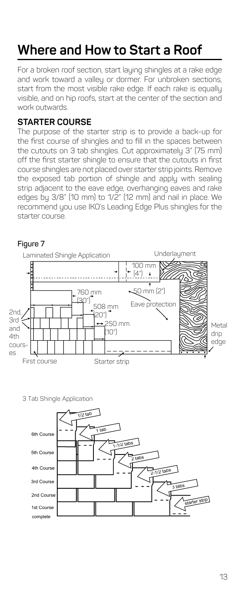# **Where and How to Start a Roof**

For a broken roof section, start laying shingles at a rake edge and work toward a valley or dormer. For unbroken sections, start from the most visible rake edge. If each rake is equally visible, and on hip roofs, start at the center of the section and work outwards.

#### **STARTER COURSE**

The purpose of the starter strip is to provide a back-up for the first course of shingles and to fill in the spaces between the cutouts on 3 tab shingles. Cut approximately 3" (75 mm) off the first starter shingle to ensure that the cutouts in first course shingles are not placed over starter strip joints. Remove the exposed tab portion of shingle and apply with sealing strip adjacent to the eave edge, overhanging eaves and rake edges by 3/8" (10 mm) to 1/2" (12 mm) and nail in place. We recommend you use IKO's Leading Edge Plus shingles for the starter course.



3 Tab Shingle Application

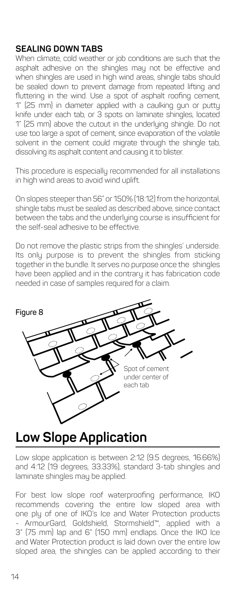#### **SEALING DOWN TABS**

When climate, cold weather or job conditions are such that the asphalt adhesive on the shingles may not be effective and when shingles are used in high wind areas, shingle tabs should be sealed down to prevent damage from repeated lifting and fluttering in the wind. Use a spot of asphalt roofing cement, 1" (25 mm) in diameter applied with a caulking gun or putty knife under each tab, or 3 spots on laminate shingles, located 1" (25 mm) above the cutout in the underlying shingle. Do not use too large a spot of cement, since evaporation of the volatile solvent in the cement could migrate through the shingle tab, dissolving its asphalt content and causing it to blister.

This procedure is especially recommended for all installations in high wind areas to avoid wind uplift.

On slopes steeper than 56˚ or 150% (18:12) from the horizontal, shingle tabs must be sealed as described above, since contact between the tabs and the underlying course is insufficient for the self-seal adhesive to be effective.

Do not remove the plastic strips from the shingles' underside. Its only purpose is to prevent the shingles from sticking together in the bundle. It serves no purpose once the shingles have been applied and in the contrary it has fabrication code needed in case of samples required for a claim.



### **Low Slope Application**

Low slope application is between 2:12 (9.5 degrees, 16.66%) and 4:12 (19 degrees, 33.33%), standard 3-tab shingles and laminate shingles may be applied.

For best low slope roof waterproofing performance, IKO recommends covering the entire low sloped area with one ply of one of IKO's Ice and Water Protection products - ArmourGard, Goldshield, Stormshield™, applied with a 3" (75 mm) lap and 6" (150 mm) endlaps. Once the IKO Ice and Water Protection product is laid down over the entire low sloped area, the shingles can be applied according to their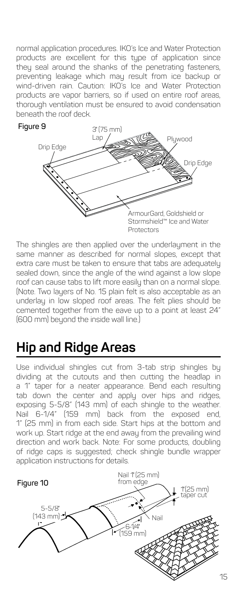normal application procedures. IKO's Ice and Water Protection products are excellent for this type of application since they seal around the shanks of the penetrating fasteners, preventing leakage which may result from ice backup or wind-driven rain. Caution: IKO's Ice and Water Protection products are vapor barriers, so if used on entire roof areas, thorough ventilation must be ensured to avoid condensation beneath the roof deck.



The shingles are then applied over the underlayment in the same manner as described for normal slopes, except that extra care must be taken to ensure that tabs are adequately sealed down, since the angle of the wind against a low slope roof can cause tabs to lift more easily than on a normal slope. (Note. Two layers of No. 15 plain felt is also acceptable as an underlay in low sloped roof areas. The felt plies should be cemented together from the eave up to a point at least 24" (600 mm) beyond the inside wall line.)

# **Hip and Ridge Areas**

Use individual shingles cut from 3-tab strip shingles by dividing at the cutouts and then cutting the headlap in a 1" taper for a neater appearance. Bend each resulting tab down the center and apply over hips and ridges, exposing 5-5/8" (143 mm) of each shingle to the weather. Nail 6-1/4" (159 mm) back from the exposed end, 1" (25 mm) in from each side. Start hips at the bottom and work up. Start ridge at the end away from the prevailing wind direction and work back. Note: For some products, doubling of ridge caps is suggested; check shingle bundle wrapper application instructions for details.